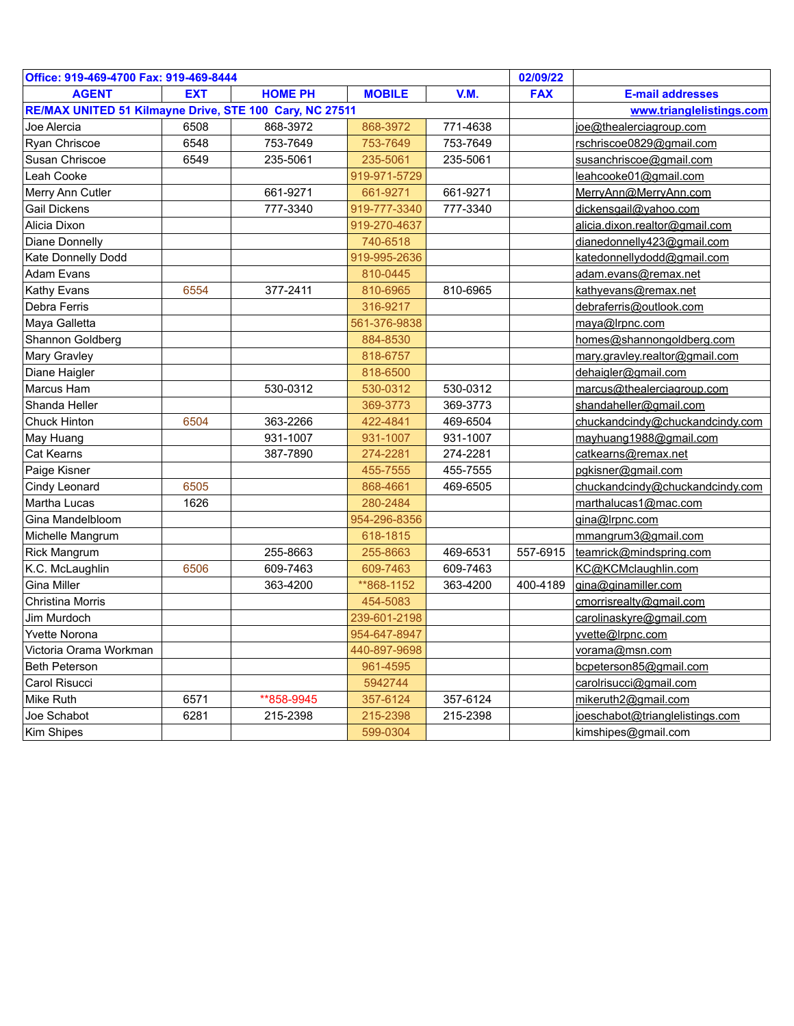| Office: 919-469-4700 Fax: 919-469-8444                  |            | 02/09/22       |                          |          |            |                                 |
|---------------------------------------------------------|------------|----------------|--------------------------|----------|------------|---------------------------------|
| <b>AGENT</b>                                            | <b>EXT</b> | <b>HOME PH</b> | <b>MOBILE</b>            | V.M.     | <b>FAX</b> | <b>E-mail addresses</b>         |
| RE/MAX UNITED 51 Kilmayne Drive, STE 100 Cary, NC 27511 |            |                | www.trianglelistings.com |          |            |                                 |
| Joe Alercia                                             | 6508       | 868-3972       | 868-3972                 | 771-4638 |            | joe@thealerciagroup.com         |
| Ryan Chriscoe                                           | 6548       | 753-7649       | 753-7649                 | 753-7649 |            | rschriscoe0829@gmail.com        |
| Susan Chriscoe                                          | 6549       | 235-5061       | 235-5061                 | 235-5061 |            | susanchriscoe@gmail.com         |
| Leah Cooke                                              |            |                | 919-971-5729             |          |            | leahcooke01@gmail.com           |
| Merry Ann Cutler                                        |            | 661-9271       | 661-9271                 | 661-9271 |            | MerryAnn@MerryAnn.com           |
| <b>Gail Dickens</b>                                     |            | 777-3340       | 919-777-3340             | 777-3340 |            | dickensgail@yahoo.com           |
| Alicia Dixon                                            |            |                | 919-270-4637             |          |            | alicia.dixon.realtor@gmail.com  |
| Diane Donnelly                                          |            |                | 740-6518                 |          |            | dianedonnelly423@gmail.com      |
| Kate Donnelly Dodd                                      |            |                | 919-995-2636             |          |            | katedonnellydodd@gmail.com      |
| Adam Evans                                              |            |                | 810-0445                 |          |            | adam.evans@remax.net            |
| Kathy Evans                                             | 6554       | 377-2411       | 810-6965                 | 810-6965 |            | kathyevans@remax.net            |
| Debra Ferris                                            |            |                | 316-9217                 |          |            | debraferris@outlook.com         |
| Maya Galletta                                           |            |                | 561-376-9838             |          |            | maya@Irpnc.com                  |
| Shannon Goldberg                                        |            |                | 884-8530                 |          |            | homes@shannongoldberg.com       |
| Mary Gravley                                            |            |                | 818-6757                 |          |            | mary.gravley.realtor@gmail.com  |
| Diane Haigler                                           |            |                | 818-6500                 |          |            | dehaigler@gmail.com             |
| Marcus Ham                                              |            | 530-0312       | 530-0312                 | 530-0312 |            | marcus@thealerciagroup.com      |
| Shanda Heller                                           |            |                | 369-3773                 | 369-3773 |            | shandaheller@gmail.com          |
| <b>Chuck Hinton</b>                                     | 6504       | 363-2266       | 422-4841                 | 469-6504 |            | chuckandcindy@chuckandcindy.com |
| May Huang                                               |            | 931-1007       | 931-1007                 | 931-1007 |            | mayhuang1988@gmail.com          |
| Cat Kearns                                              |            | 387-7890       | 274-2281                 | 274-2281 |            | catkearns@remax.net             |
| Paige Kisner                                            |            |                | 455-7555                 | 455-7555 |            | pgkisner@gmail.com              |
| Cindy Leonard                                           | 6505       |                | 868-4661                 | 469-6505 |            | chuckandcindy@chuckandcindy.com |
| Martha Lucas                                            | 1626       |                | 280-2484                 |          |            | marthalucas1@mac.com            |
| Gina Mandelbloom                                        |            |                | 954-296-8356             |          |            | gina@Irpnc.com                  |
| Michelle Mangrum                                        |            |                | 618-1815                 |          |            | mmangrum3@gmail.com             |
| Rick Mangrum                                            |            | 255-8663       | 255-8663                 | 469-6531 | 557-6915   | teamrick@mindspring.com         |
| K.C. McLaughlin                                         | 6506       | 609-7463       | 609-7463                 | 609-7463 |            | KC@KCMclaughlin.com             |
| <b>Gina Miller</b>                                      |            | 363-4200       | **868-1152               | 363-4200 | 400-4189   | gina@ginamiller.com             |
| Christina Morris                                        |            |                | 454-5083                 |          |            | cmorrisrealty@gmail.com         |
| Jim Murdoch                                             |            |                | 239-601-2198             |          |            | carolinaskyre@gmail.com         |
| <b>Yvette Norona</b>                                    |            |                | 954-647-8947             |          |            | yvette@Irpnc.com                |
| Victoria Orama Workman                                  |            |                | 440-897-9698             |          |            | vorama@msn.com                  |
| <b>Beth Peterson</b>                                    |            |                | 961-4595                 |          |            | bcpeterson85@gmail.com          |
| Carol Risucci                                           |            |                | 5942744                  |          |            | carolrisucci@gmail.com          |
| Mike Ruth                                               | 6571       | **858-9945     | 357-6124                 | 357-6124 |            | mikeruth2@gmail.com             |
| Joe Schabot                                             | 6281       | 215-2398       | 215-2398                 | 215-2398 |            | joeschabot@trianglelistings.com |
| Kim Shipes                                              |            |                | 599-0304                 |          |            | kimshipes@gmail.com             |